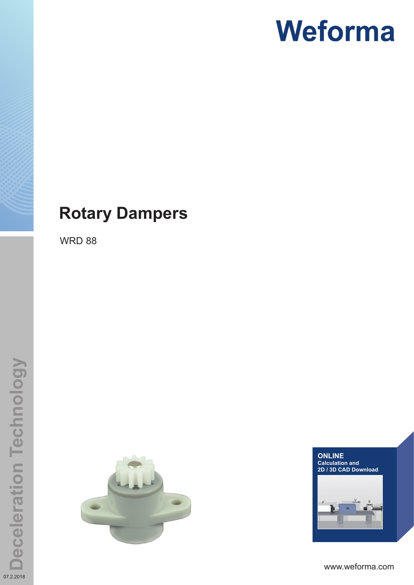### **Rotary Dampers**

WRD 88





www.weforma.com

07.2.2018

**Deceleration Technology**

**Deceleration Technology**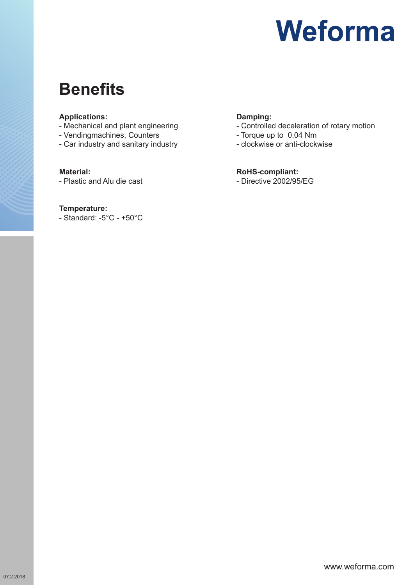### **Benefits**

#### **Applications:**

- Mechanical and plant engineering
- Vendingmachines, Counters
- Car industry and sanitary industry

#### **Material:**

- Plastic and Alu die cast

#### **Temperature:**

- Standard: -5°C - +50°C

#### **Damping:**

- Controlled deceleration of rotary motion
- Torque up to 0,04 Nm
- clockwise or anti-clockwise

#### **RoHS-compliant:**

- Directive 2002/95/EG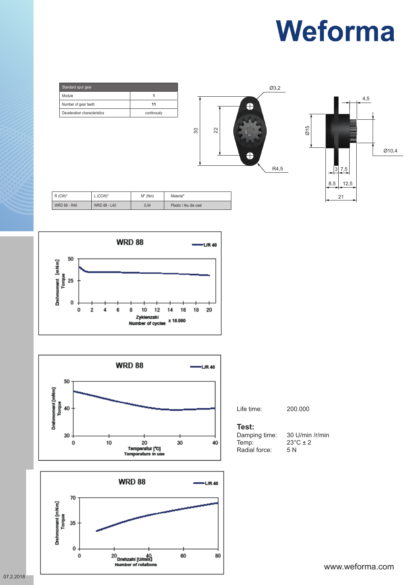

|        | <b>WRD 88</b>                              |   |   |  |   |   |  |             |  |  | <b>L/R 40</b> |    |  |
|--------|--------------------------------------------|---|---|--|---|---|--|-------------|--|--|---------------|----|--|
| [mNm]  | 50                                         |   |   |  |   |   |  |             |  |  |               |    |  |
| Γorq   | 25                                         |   |   |  |   |   |  |             |  |  |               |    |  |
| Drehmo | 0                                          | 0 | 2 |  | 6 | 8 |  | 10 12 14 16 |  |  | 18            | 20 |  |
|        | Zyklenzahl<br>x 10.000<br>Number of cycles |   |   |  |   |   |  |             |  |  |               |    |  |





Life time: 200.000

#### **Test:**

Radial force:

Damping time:  $30 \text{ U/min } / \text{r/min}$ <br>Temp:  $23^{\circ} \text{C} \pm 2$  $23^{\circ}$ C ± 2<br>5 N